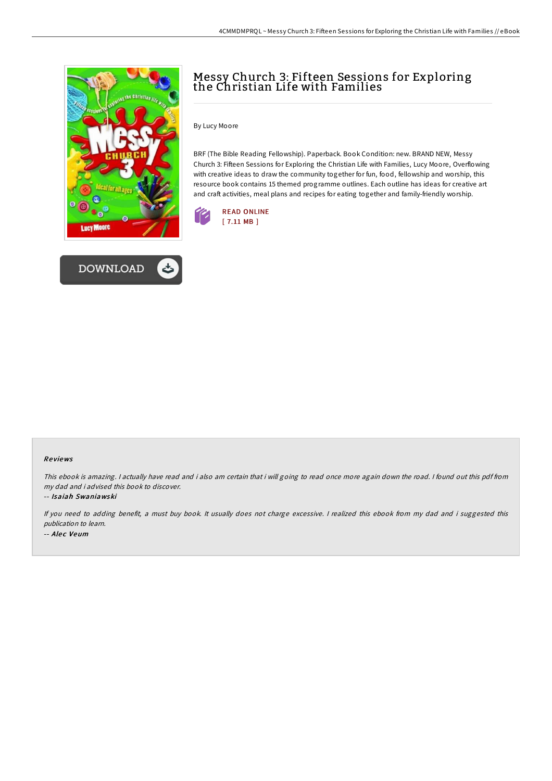



## Messy Church 3: Fifteen Sessions for Exploring the Christian Life with Families

By Lucy Moore

BRF (The Bible Reading Fellowship). Paperback. Book Condition: new. BRAND NEW, Messy Church 3: Fifteen Sessions for Exploring the Christian Life with Families, Lucy Moore, Overflowing with creative ideas to draw the community together for fun, food, fellowship and worship, this resource book contains 15 themed programme outlines. Each outline has ideas for creative art and craft activities, meal plans and recipes for eating together and family-friendly worship.



## Re views

This ebook is amazing. <sup>I</sup> actually have read and i also am certain that i will going to read once more again down the road. <sup>I</sup> found out this pdf from my dad and i advised this book to discover.

## -- Isaiah Swaniawski

If you need to adding benefit, <sup>a</sup> must buy book. It usually does not charge excessive. <sup>I</sup> realized this ebook from my dad and i suggested this publication to learn. -- Alec Veum